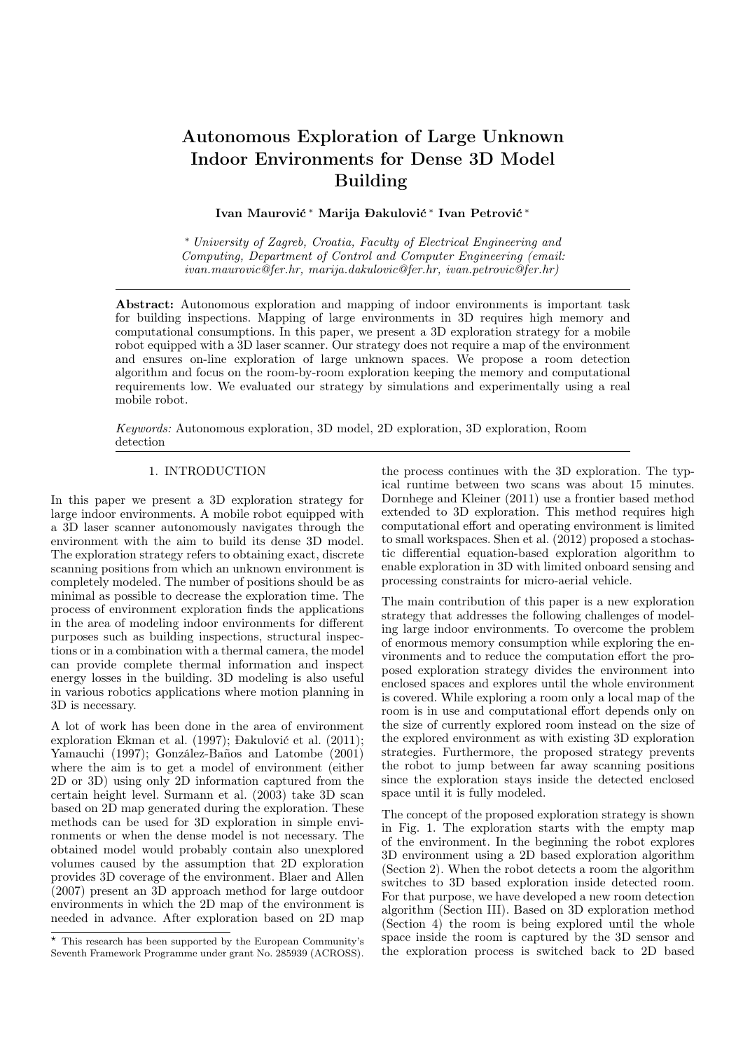# Autonomous Exploration of Large Unknown Indoor Environments for Dense 3D Model Building

Ivan Maurović <sup>∗</sup> Marija Ðakulović <sup>∗</sup> Ivan Petrović <sup>∗</sup>

<sup>∗</sup> University of Zagreb, Croatia, Faculty of Electrical Engineering and Computing, Department of Control and Computer Engineering (email: ivan.maurovic@fer.hr, marija.dakulovic@fer.hr, ivan.petrovic@fer.hr)

Abstract: Autonomous exploration and mapping of indoor environments is important task for building inspections. Mapping of large environments in 3D requires high memory and computational consumptions. In this paper, we present a 3D exploration strategy for a mobile robot equipped with a 3D laser scanner. Our strategy does not require a map of the environment and ensures on-line exploration of large unknown spaces. We propose a room detection algorithm and focus on the room-by-room exploration keeping the memory and computational requirements low. We evaluated our strategy by simulations and experimentally using a real mobile robot.

Keywords: Autonomous exploration, 3D model, 2D exploration, 3D exploration, Room detection

## 1. INTRODUCTION

In this paper we present a 3D exploration strategy for large indoor environments. A mobile robot equipped with a 3D laser scanner autonomously navigates through the environment with the aim to build its dense 3D model. The exploration strategy refers to obtaining exact, discrete scanning positions from which an unknown environment is completely modeled. The number of positions should be as minimal as possible to decrease the exploration time. The process of environment exploration finds the applications in the area of modeling indoor environments for different purposes such as building inspections, structural inspections or in a combination with a thermal camera, the model can provide complete thermal information and inspect energy losses in the building. 3D modeling is also useful in various robotics applications where motion planning in 3D is necessary.

A lot of work has been done in the area of environment exploration Ekman et al. (1997); Ðakulović et al. (2011); Yamauchi (1997); González-Baños and Latombe (2001) where the aim is to get a model of environment (either 2D or 3D) using only 2D information captured from the certain height level. Surmann et al. (2003) take 3D scan based on 2D map generated during the exploration. These methods can be used for 3D exploration in simple environments or when the dense model is not necessary. The obtained model would probably contain also unexplored volumes caused by the assumption that 2D exploration provides 3D coverage of the environment. Blaer and Allen (2007) present an 3D approach method for large outdoor environments in which the 2D map of the environment is needed in advance. After exploration based on 2D map

the process continues with the 3D exploration. The typical runtime between two scans was about 15 minutes. Dornhege and Kleiner (2011) use a frontier based method extended to 3D exploration. This method requires high computational effort and operating environment is limited to small workspaces. Shen et al. (2012) proposed a stochastic differential equation-based exploration algorithm to enable exploration in 3D with limited onboard sensing and processing constraints for micro-aerial vehicle.

The main contribution of this paper is a new exploration strategy that addresses the following challenges of modeling large indoor environments. To overcome the problem of enormous memory consumption while exploring the environments and to reduce the computation effort the proposed exploration strategy divides the environment into enclosed spaces and explores until the whole environment is covered. While exploring a room only a local map of the room is in use and computational effort depends only on the size of currently explored room instead on the size of the explored environment as with existing 3D exploration strategies. Furthermore, the proposed strategy prevents the robot to jump between far away scanning positions since the exploration stays inside the detected enclosed space until it is fully modeled.

The concept of the proposed exploration strategy is shown in Fig. 1. The exploration starts with the empty map of the environment. In the beginning the robot explores 3D environment using a 2D based exploration algorithm (Section 2). When the robot detects a room the algorithm switches to 3D based exploration inside detected room. For that purpose, we have developed a new room detection algorithm (Section III). Based on 3D exploration method (Section 4) the room is being explored until the whole space inside the room is captured by the 3D sensor and the exploration process is switched back to 2D based

<sup>?</sup> This research has been supported by the European Community's Seventh Framework Programme under grant No. 285939 (ACROSS).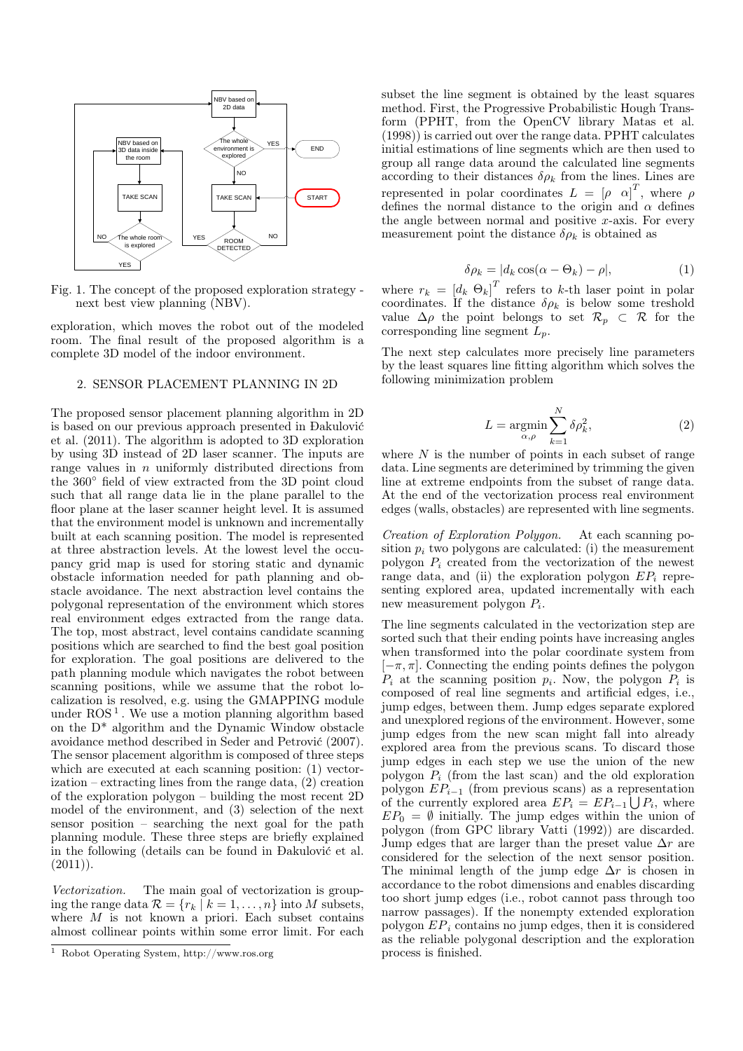

Fig. 1. The concept of the proposed exploration strategy next best view planning (NBV).

exploration, which moves the robot out of the modeled room. The final result of the proposed algorithm is a complete 3D model of the indoor environment.

#### 2. SENSOR PLACEMENT PLANNING IN 2D

The proposed sensor placement planning algorithm in 2D is based on our previous approach presented in Ðakulović et al. (2011). The algorithm is adopted to 3D exploration by using 3D instead of 2D laser scanner. The inputs are range values in  $n$  uniformly distributed directions from the 360◦ field of view extracted from the 3D point cloud such that all range data lie in the plane parallel to the floor plane at the laser scanner height level. It is assumed that the environment model is unknown and incrementally built at each scanning position. The model is represented at three abstraction levels. At the lowest level the occupancy grid map is used for storing static and dynamic obstacle information needed for path planning and obstacle avoidance. The next abstraction level contains the polygonal representation of the environment which stores real environment edges extracted from the range data. The top, most abstract, level contains candidate scanning positions which are searched to find the best goal position for exploration. The goal positions are delivered to the path planning module which navigates the robot between scanning positions, while we assume that the robot localization is resolved, e.g. using the GMAPPING module under  $ROS<sup>1</sup>$ . We use a motion planning algorithm based on the  $D^*$  algorithm and the Dynamic Window obstacle avoidance method described in Seder and Petrović (2007). The sensor placement algorithm is composed of three steps which are executed at each scanning position: (1) vectorization – extracting lines from the range data,  $(2)$  creation of the exploration polygon – building the most recent 2D model of the environment, and (3) selection of the next sensor position – searching the next goal for the path planning module. These three steps are briefly explained in the following (details can be found in Ðakulović et al.  $(2011)$ .

Vectorization. The main goal of vectorization is grouping the range data  $\mathcal{R} = \{r_k \mid k = 1, \ldots, n\}$  into M subsets, where  $M$  is not known a priori. Each subset contains almost collinear points within some error limit. For each subset the line segment is obtained by the least squares method. First, the Progressive Probabilistic Hough Transform (PPHT, from the OpenCV library Matas et al. (1998)) is carried out over the range data. PPHT calculates initial estimations of line segments which are then used to group all range data around the calculated line segments according to their distances  $\delta \rho_k$  from the lines. Lines are represented in polar coordinates  $L = [\rho \alpha]^T$ , where  $\rho$ defines the normal distance to the origin and  $\alpha$  defines the angle between normal and positive  $x$ -axis. For every measurement point the distance  $\delta \rho_k$  is obtained as

$$
\delta \rho_k = |d_k \cos(\alpha - \Theta_k) - \rho|,\tag{1}
$$

where  $r_k = [d_k \Theta_k]^T$  refers to k-th laser point in polar coordinates. If the distance  $\delta \rho_k$  is below some treshold value  $\Delta \rho$  the point belongs to set  $\mathcal{R}_p \subset \mathcal{R}$  for the corresponding line segment  $L_p$ .

The next step calculates more precisely line parameters by the least squares line fitting algorithm which solves the following minimization problem

$$
L = \underset{\alpha,\rho}{\text{argmin}} \sum_{k=1}^{N} \delta \rho_k^2, \tag{2}
$$

where  $N$  is the number of points in each subset of range data. Line segments are deterimined by trimming the given line at extreme endpoints from the subset of range data. At the end of the vectorization process real environment edges (walls, obstacles) are represented with line segments.

Creation of Exploration Polygon. At each scanning position  $p_i$  two polygons are calculated: (i) the measurement polygon  $P_i$  created from the vectorization of the newest range data, and (ii) the exploration polygon  $EP_i$  representing explored area, updated incrementally with each new measurement polygon  $P_i$ .

The line segments calculated in the vectorization step are sorted such that their ending points have increasing angles when transformed into the polar coordinate system from  $[-\pi, \pi]$ . Connecting the ending points defines the polygon  $P_i$  at the scanning position  $p_i$ . Now, the polygon  $P_i$  is composed of real line segments and artificial edges, i.e., jump edges, between them. Jump edges separate explored and unexplored regions of the environment. However, some jump edges from the new scan might fall into already explored area from the previous scans. To discard those jump edges in each step we use the union of the new polygon  $P_i$  (from the last scan) and the old exploration polygon  $EP_{i-1}$  (from previous scans) as a representation of the currently explored area  $EP_i = EP_{i-1} \bigcup P_i$ , where  $EP_0 = \emptyset$  initially. The jump edges within the union of polygon (from GPC library Vatti (1992)) are discarded. Jump edges that are larger than the preset value  $\Delta r$  are considered for the selection of the next sensor position. The minimal length of the jump edge  $\Delta r$  is chosen in accordance to the robot dimensions and enables discarding too short jump edges (i.e., robot cannot pass through too narrow passages). If the nonempty extended exploration polygon  $EP_i$  contains no jump edges, then it is considered as the reliable polygonal description and the exploration process is finished.

<sup>1</sup> Robot Operating System, http://www.ros.org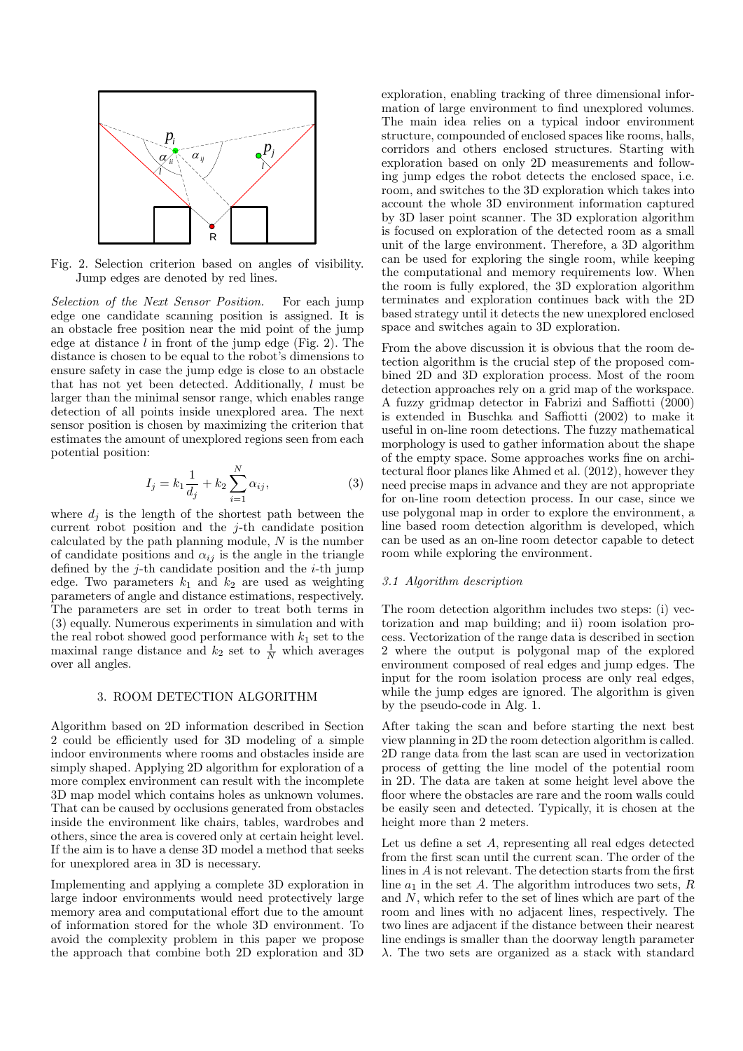

Fig. 2. Selection criterion based on angles of visibility. Jump edges are denoted by red lines.

Selection of the Next Sensor Position. For each jump edge one candidate scanning position is assigned. It is an obstacle free position near the mid point of the jump edge at distance  $l$  in front of the jump edge (Fig. 2). The distance is chosen to be equal to the robot's dimensions to ensure safety in case the jump edge is close to an obstacle that has not yet been detected. Additionally, l must be larger than the minimal sensor range, which enables range detection of all points inside unexplored area. The next sensor position is chosen by maximizing the criterion that estimates the amount of unexplored regions seen from each potential position:

$$
I_j = k_1 \frac{1}{d_j} + k_2 \sum_{i=1}^{N} \alpha_{ij},
$$
\n(3)

where  $d_i$  is the length of the shortest path between the current robot position and the j-th candidate position calculated by the path planning module,  $N$  is the number of candidate positions and  $\alpha_{ij}$  is the angle in the triangle defined by the  $j$ -th candidate position and the  $i$ -th jump edge. Two parameters  $k_1$  and  $k_2$  are used as weighting parameters of angle and distance estimations, respectively. The parameters are set in order to treat both terms in (3) equally. Numerous experiments in simulation and with the real robot showed good performance with  $k_1$  set to the maximal range distance and  $k_2$  set to  $\frac{1}{N}$  which averages over all angles.

#### 3. ROOM DETECTION ALGORITHM

Algorithm based on 2D information described in Section 2 could be efficiently used for 3D modeling of a simple indoor environments where rooms and obstacles inside are simply shaped. Applying 2D algorithm for exploration of a more complex environment can result with the incomplete 3D map model which contains holes as unknown volumes. That can be caused by occlusions generated from obstacles inside the environment like chairs, tables, wardrobes and others, since the area is covered only at certain height level. If the aim is to have a dense 3D model a method that seeks for unexplored area in 3D is necessary.

Implementing and applying a complete 3D exploration in large indoor environments would need protectively large memory area and computational effort due to the amount of information stored for the whole 3D environment. To avoid the complexity problem in this paper we propose the approach that combine both 2D exploration and 3D exploration, enabling tracking of three dimensional information of large environment to find unexplored volumes. The main idea relies on a typical indoor environment structure, compounded of enclosed spaces like rooms, halls, corridors and others enclosed structures. Starting with exploration based on only 2D measurements and following jump edges the robot detects the enclosed space, i.e. room, and switches to the 3D exploration which takes into account the whole 3D environment information captured by 3D laser point scanner. The 3D exploration algorithm is focused on exploration of the detected room as a small unit of the large environment. Therefore, a 3D algorithm can be used for exploring the single room, while keeping the computational and memory requirements low. When the room is fully explored, the 3D exploration algorithm terminates and exploration continues back with the 2D based strategy until it detects the new unexplored enclosed space and switches again to 3D exploration.

From the above discussion it is obvious that the room detection algorithm is the crucial step of the proposed combined 2D and 3D exploration process. Most of the room detection approaches rely on a grid map of the workspace. A fuzzy gridmap detector in Fabrizi and Saffiotti (2000) is extended in Buschka and Saffiotti (2002) to make it useful in on-line room detections. The fuzzy mathematical morphology is used to gather information about the shape of the empty space. Some approaches works fine on architectural floor planes like Ahmed et al. (2012), however they need precise maps in advance and they are not appropriate for on-line room detection process. In our case, since we use polygonal map in order to explore the environment, a line based room detection algorithm is developed, which can be used as an on-line room detector capable to detect room while exploring the environment.

# 3.1 Algorithm description

The room detection algorithm includes two steps: (i) vectorization and map building; and ii) room isolation process. Vectorization of the range data is described in section 2 where the output is polygonal map of the explored environment composed of real edges and jump edges. The input for the room isolation process are only real edges, while the jump edges are ignored. The algorithm is given by the pseudo-code in Alg. 1.

After taking the scan and before starting the next best view planning in 2D the room detection algorithm is called. 2D range data from the last scan are used in vectorization process of getting the line model of the potential room in 2D. The data are taken at some height level above the floor where the obstacles are rare and the room walls could be easily seen and detected. Typically, it is chosen at the height more than 2 meters.

Let us define a set A, representing all real edges detected from the first scan until the current scan. The order of the lines in A is not relevant. The detection starts from the first line  $a_1$  in the set A. The algorithm introduces two sets, R and N, which refer to the set of lines which are part of the room and lines with no adjacent lines, respectively. The two lines are adjacent if the distance between their nearest line endings is smaller than the doorway length parameter  $\lambda$ . The two sets are organized as a stack with standard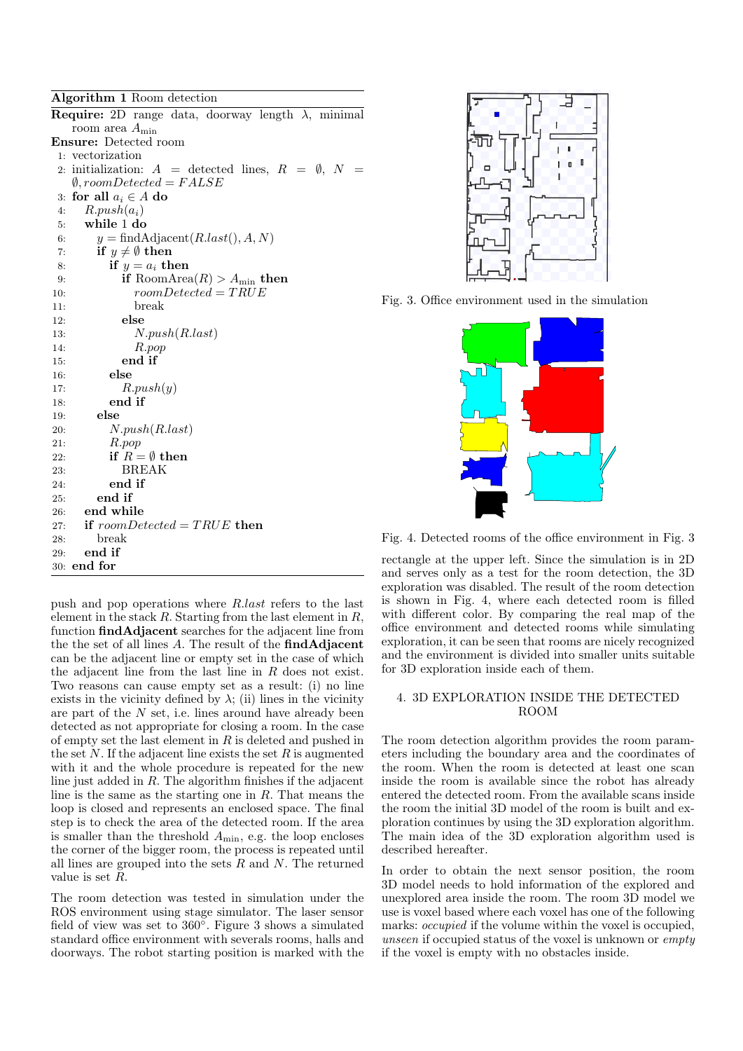Algorithm 1 Room detection

|     | <b>Require:</b> 2D range data, doorway length $\lambda$ , minimal |
|-----|-------------------------------------------------------------------|
|     | room area $A_{\text{min}}$                                        |
|     | <b>Ensure:</b> Detected room                                      |
|     | 1: vectorization                                                  |
|     | 2: initialization: $A =$ detected lines, $R = \emptyset$ , $N =$  |
|     | $\emptyset$ , room Detected = FALSE                               |
|     | 3: for all $a_i \in A$ do                                         |
| 4:  | $R.push(a_i)$                                                     |
| 5:  | while 1 do                                                        |
| 6:  | $y = \text{findAdjacent}(R.\text{last}(), A, N)$                  |
| 7:  | if $y \neq \emptyset$ then                                        |
| 8:  | if $y = a_i$ then                                                 |
| 9:  | if Room $Area(R) > A_{min}$ then                                  |
| 10: | $roomDetected = TRUE$                                             |
| 11: | break                                                             |
| 12: | else                                                              |
| 13: | N.push(R last)                                                    |
| 14: | R.pop                                                             |
| 15: | end if                                                            |
| 16: | else                                                              |
| 17: | R.push(y)                                                         |
| 18: | end if                                                            |
| 19: | else                                                              |
| 20: | $N.push(R-last)$                                                  |
| 21: | R.pop                                                             |
| 22: | if $R = \emptyset$ then                                           |
| 23: | <b>BREAK</b>                                                      |
| 24: | end if                                                            |
| 25: | end if                                                            |
| 26: | end while                                                         |
| 27: | if room Detected = TRUE then                                      |
| 28: | break                                                             |
| 29: | end if                                                            |
|     | $30:$ end for                                                     |

push and pop operations where R.last refers to the last element in the stack  $R$ . Starting from the last element in  $R$ , function findAdjacent searches for the adjacent line from the the set of all lines A. The result of the findAdjacent can be the adjacent line or empty set in the case of which the adjacent line from the last line in R does not exist. Two reasons can cause empty set as a result: (i) no line exists in the vicinity defined by  $\lambda$ ; (ii) lines in the vicinity are part of the  $N$  set, i.e. lines around have already been detected as not appropriate for closing a room. In the case of empty set the last element in  $R$  is deleted and pushed in the set  $N$ . If the adjacent line exists the set  $R$  is augmented with it and the whole procedure is repeated for the new line just added in  $R$ . The algorithm finishes if the adjacent line is the same as the starting one in  $R$ . That means the loop is closed and represents an enclosed space. The final step is to check the area of the detected room. If the area is smaller than the threshold  $A_{\text{min}}$ , e.g. the loop encloses the corner of the bigger room, the process is repeated until all lines are grouped into the sets  $R$  and  $N$ . The returned value is set R.

The room detection was tested in simulation under the ROS environment using stage simulator. The laser sensor field of view was set to 360°. Figure 3 shows a simulated standard office environment with severals rooms, halls and doorways. The robot starting position is marked with the



Fig. 3. Office environment used in the simulation



Fig. 4. Detected rooms of the office environment in Fig. 3

rectangle at the upper left. Since the simulation is in 2D and serves only as a test for the room detection, the 3D exploration was disabled. The result of the room detection is shown in Fig. 4, where each detected room is filled with different color. By comparing the real map of the office environment and detected rooms while simulating exploration, it can be seen that rooms are nicely recognized and the environment is divided into smaller units suitable for 3D exploration inside each of them.

### 4. 3D EXPLORATION INSIDE THE DETECTED ROOM

The room detection algorithm provides the room parameters including the boundary area and the coordinates of the room. When the room is detected at least one scan inside the room is available since the robot has already entered the detected room. From the available scans inside the room the initial 3D model of the room is built and exploration continues by using the 3D exploration algorithm. The main idea of the 3D exploration algorithm used is described hereafter.

In order to obtain the next sensor position, the room 3D model needs to hold information of the explored and unexplored area inside the room. The room 3D model we use is voxel based where each voxel has one of the following marks: occupied if the volume within the voxel is occupied, unseen if occupied status of the voxel is unknown or empty if the voxel is empty with no obstacles inside.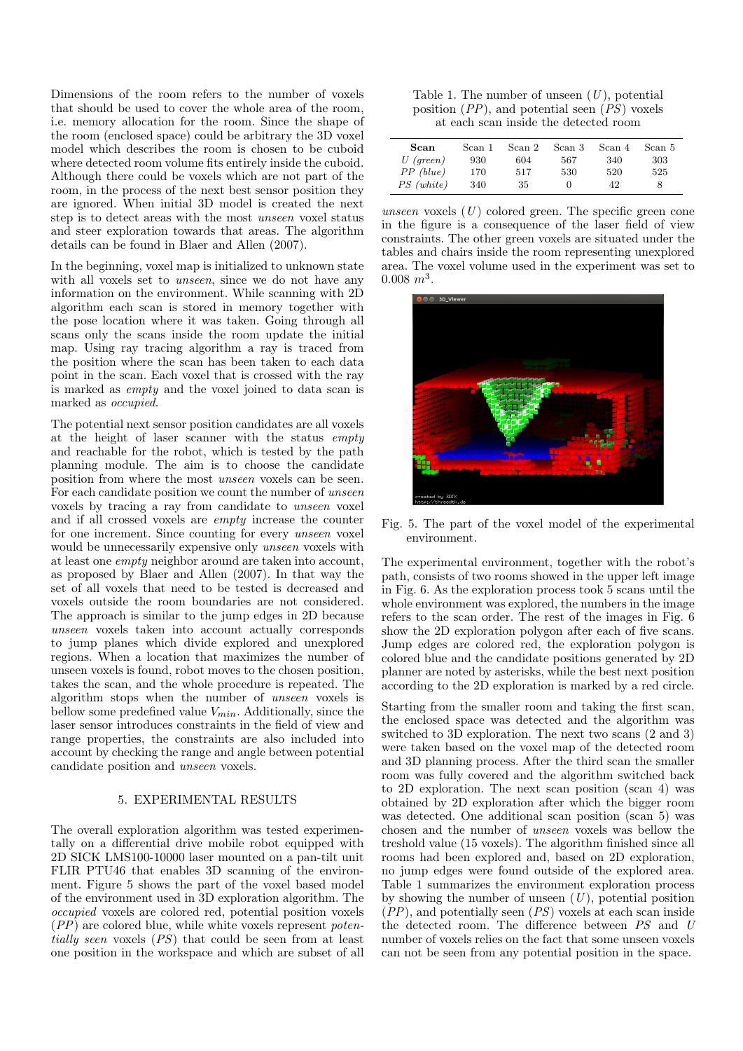Dimensions of the room refers to the number of voxels that should be used to cover the whole area of the room, i.e. memory allocation for the room. Since the shape of the room (enclosed space) could be arbitrary the 3D voxel model which describes the room is chosen to be cuboid where detected room volume fits entirely inside the cuboid. Although there could be voxels which are not part of the room, in the process of the next best sensor position they are ignored. When initial 3D model is created the next step is to detect areas with the most unseen voxel status and steer exploration towards that areas. The algorithm details can be found in Blaer and Allen (2007).

In the beginning, voxel map is initialized to unknown state with all voxels set to *unseen*, since we do not have any information on the environment. While scanning with 2D algorithm each scan is stored in memory together with the pose location where it was taken. Going through all scans only the scans inside the room update the initial map. Using ray tracing algorithm a ray is traced from the position where the scan has been taken to each data point in the scan. Each voxel that is crossed with the ray is marked as empty and the voxel joined to data scan is marked as occupied.

The potential next sensor position candidates are all voxels at the height of laser scanner with the status empty and reachable for the robot, which is tested by the path planning module. The aim is to choose the candidate position from where the most unseen voxels can be seen. For each candidate position we count the number of unseen voxels by tracing a ray from candidate to unseen voxel and if all crossed voxels are empty increase the counter for one increment. Since counting for every unseen voxel would be unnecessarily expensive only *unseen* voxels with at least one empty neighbor around are taken into account, as proposed by Blaer and Allen (2007). In that way the set of all voxels that need to be tested is decreased and voxels outside the room boundaries are not considered. The approach is similar to the jump edges in 2D because unseen voxels taken into account actually corresponds to jump planes which divide explored and unexplored regions. When a location that maximizes the number of unseen voxels is found, robot moves to the chosen position, takes the scan, and the whole procedure is repeated. The algorithm stops when the number of unseen voxels is bellow some predefined value  $V_{min}$ . Additionally, since the laser sensor introduces constraints in the field of view and range properties, the constraints are also included into account by checking the range and angle between potential candidate position and unseen voxels.

# 5. EXPERIMENTAL RESULTS

The overall exploration algorithm was tested experimentally on a differential drive mobile robot equipped with 2D SICK LMS100-10000 laser mounted on a pan-tilt unit FLIR PTU46 that enables 3D scanning of the environment. Figure 5 shows the part of the voxel based model of the environment used in 3D exploration algorithm. The occupied voxels are colored red, potential position voxels  $(PP)$  are colored blue, while white voxels represent *poten*tially seen voxels (PS) that could be seen from at least one position in the workspace and which are subset of all

Table 1. The number of unseen  $(U)$ , potential position  $(PP)$ , and potential seen  $(PS)$  voxels at each scan inside the detected room

| Scan        | Scan 1 | Scan 2 | Scan 3   | Scan 4 | Scan 5 |
|-------------|--------|--------|----------|--------|--------|
| $U$ (green) | 930    | 604    | 567      | 340    | 303    |
| $PP$ (blue) | 170    | 517    | 530      | 520    | 525    |
| PS (white)  | 340    | 35     | $^{(1)}$ | 42     | 8      |

unseen voxels  $(U)$  colored green. The specific green cone in the figure is a consequence of the laser field of view constraints. The other green voxels are situated under the tables and chairs inside the room representing unexplored area. The voxel volume used in the experiment was set to  $0.008 \; m^3.$ 



Fig. 5. The part of the voxel model of the experimental environment.

The experimental environment, together with the robot's path, consists of two rooms showed in the upper left image in Fig. 6. As the exploration process took 5 scans until the whole environment was explored, the numbers in the image refers to the scan order. The rest of the images in Fig. 6 show the 2D exploration polygon after each of five scans. Jump edges are colored red, the exploration polygon is colored blue and the candidate positions generated by 2D planner are noted by asterisks, while the best next position according to the 2D exploration is marked by a red circle.

Starting from the smaller room and taking the first scan, the enclosed space was detected and the algorithm was switched to 3D exploration. The next two scans (2 and 3) were taken based on the voxel map of the detected room and 3D planning process. After the third scan the smaller room was fully covered and the algorithm switched back to 2D exploration. The next scan position (scan 4) was obtained by 2D exploration after which the bigger room was detected. One additional scan position (scan 5) was chosen and the number of unseen voxels was bellow the treshold value (15 voxels). The algorithm finished since all rooms had been explored and, based on 2D exploration, no jump edges were found outside of the explored area. Table 1 summarizes the environment exploration process by showing the number of unseen  $(U)$ , potential position  $(PP)$ , and potentially seen  $(PS)$  voxels at each scan inside the detected room. The difference between  $PS$  and  $U$ number of voxels relies on the fact that some unseen voxels can not be seen from any potential position in the space.